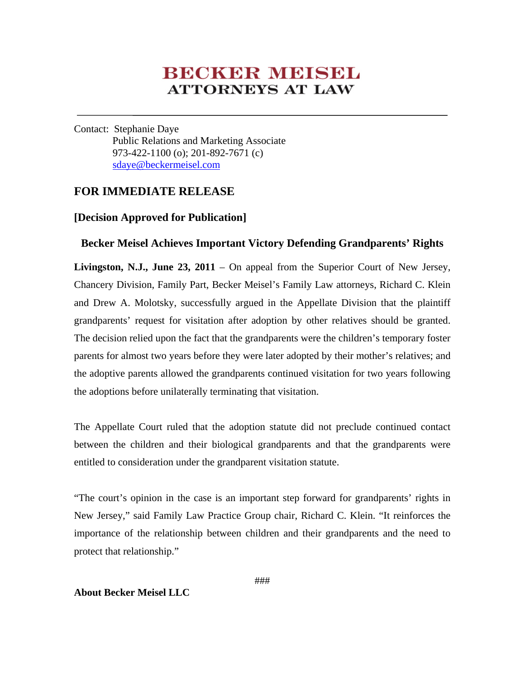# **BECKER MEISEL ATTORNEYS AT LAW**

Contact: Stephanie Daye Public Relations and Marketing Associate 973-422-1100 (o); 201-892-7671 (c) sdaye@beckermeisel.com

## **FOR IMMEDIATE RELEASE**

### **[Decision Approved for Publication]**

### **Becker Meisel Achieves Important Victory Defending Grandparents' Rights**

**Livingston, N.J., June 23, 2011** – On appeal from the Superior Court of New Jersey, Chancery Division, Family Part, Becker Meisel's Family Law attorneys, Richard C. Klein and Drew A. Molotsky, successfully argued in the Appellate Division that the plaintiff grandparents' request for visitation after adoption by other relatives should be granted. The decision relied upon the fact that the grandparents were the children's temporary foster parents for almost two years before they were later adopted by their mother's relatives; and the adoptive parents allowed the grandparents continued visitation for two years following the adoptions before unilaterally terminating that visitation.

The Appellate Court ruled that the adoption statute did not preclude continued contact between the children and their biological grandparents and that the grandparents were entitled to consideration under the grandparent visitation statute.

"The court's opinion in the case is an important step forward for grandparents' rights in New Jersey," said Family Law Practice Group chair, Richard C. Klein. "It reinforces the importance of the relationship between children and their grandparents and the need to protect that relationship."

#### **About Becker Meisel LLC**